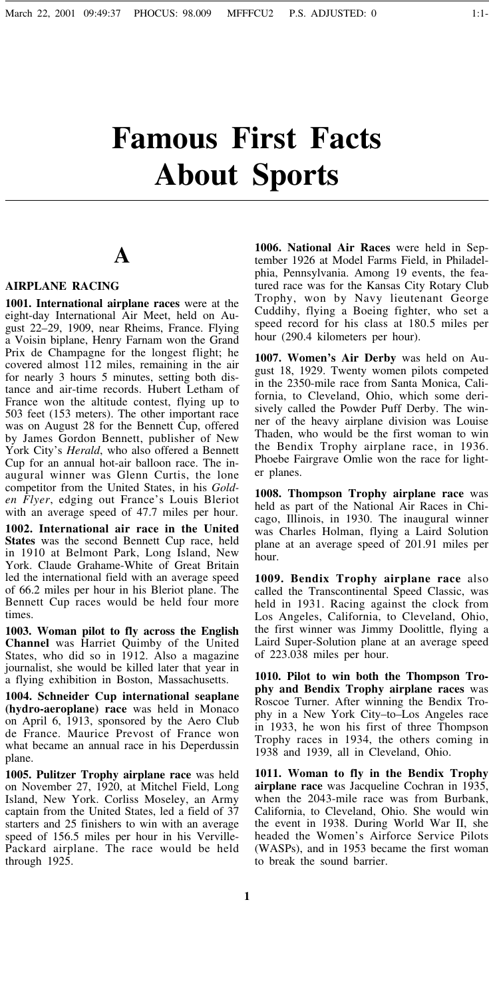# **Famous First Facts About Sports**

## **A**

#### **AIRPLANE RACING**

**1001. International airplane races** were at the eight-day International Air Meet, held on August 22–29, 1909, near Rheims, France. Flying a Voisin biplane, Henry Farnam won the Grand Prix de Champagne for the longest flight; he covered almost 112 miles, remaining in the air for nearly 3 hours 5 minutes, setting both distance and air-time records. Hubert Letham of France won the altitude contest, flying up to 503 feet (153 meters). The other important race was on August 28 for the Bennett Cup, offered by James Gordon Bennett, publisher of New York City's *Herald*, who also offered a Bennett Cup for an annual hot-air balloon race. The inaugural winner was Glenn Curtis, the lone competitor from the United States, in his *Golden Flyer*, edging out France's Louis Bleriot with an average speed of 47.7 miles per hour.

**1002. International air race in the United States** was the second Bennett Cup race, held in 1910 at Belmont Park, Long Island, New York. Claude Grahame-White of Great Britain led the international field with an average speed of 66.2 miles per hour in his Bleriot plane. The Bennett Cup races would be held four more times.

**1003. Woman pilot to fly across the English Channel** was Harriet Quimby of the United States, who did so in 1912. Also a magazine journalist, she would be killed later that year in a flying exhibition in Boston, Massachusetts.

**1004. Schneider Cup international seaplane (hydro-aeroplane) race** was held in Monaco on April 6, 1913, sponsored by the Aero Club de France. Maurice Prevost of France won what became an annual race in his Deperdussin plane.

**1005. Pulitzer Trophy airplane race** was held on November 27, 1920, at Mitchel Field, Long Island, New York. Corliss Moseley, an Army captain from the United States, led a field of 37 starters and 25 finishers to win with an average speed of 156.5 miles per hour in his Verville-Packard airplane. The race would be held through 1925.

**1006. National Air Races** were held in September 1926 at Model Farms Field, in Philadelphia, Pennsylvania. Among 19 events, the featured race was for the Kansas City Rotary Club Trophy, won by Navy lieutenant George Cuddihy, flying a Boeing fighter, who set a speed record for his class at 180.5 miles per hour (290.4 kilometers per hour).

**1007. Women's Air Derby** was held on August 18, 1929. Twenty women pilots competed in the 2350-mile race from Santa Monica, California, to Cleveland, Ohio, which some derisively called the Powder Puff Derby. The winner of the heavy airplane division was Louise Thaden, who would be the first woman to win the Bendix Trophy airplane race, in 1936. Phoebe Fairgrave Omlie won the race for lighter planes.

**1008. Thompson Trophy airplane race** was held as part of the National Air Races in Chicago, Illinois, in 1930. The inaugural winner was Charles Holman, flying a Laird Solution plane at an average speed of 201.91 miles per hour.

**1009. Bendix Trophy airplane race** also called the Transcontinental Speed Classic, was held in 1931. Racing against the clock from Los Angeles, California, to Cleveland, Ohio, the first winner was Jimmy Doolittle, flying a Laird Super-Solution plane at an average speed of 223.038 miles per hour.

**1010. Pilot to win both the Thompson Trophy and Bendix Trophy airplane races** was Roscoe Turner. After winning the Bendix Trophy in a New York City–to–Los Angeles race in 1933, he won his first of three Thompson Trophy races in 1934, the others coming in 1938 and 1939, all in Cleveland, Ohio.

**1011. Woman to fly in the Bendix Trophy airplane race** was Jacqueline Cochran in 1935, when the 2043-mile race was from Burbank, California, to Cleveland, Ohio. She would win the event in 1938. During World War II, she headed the Women's Airforce Service Pilots (WASPs), and in 1953 became the first woman to break the sound barrier.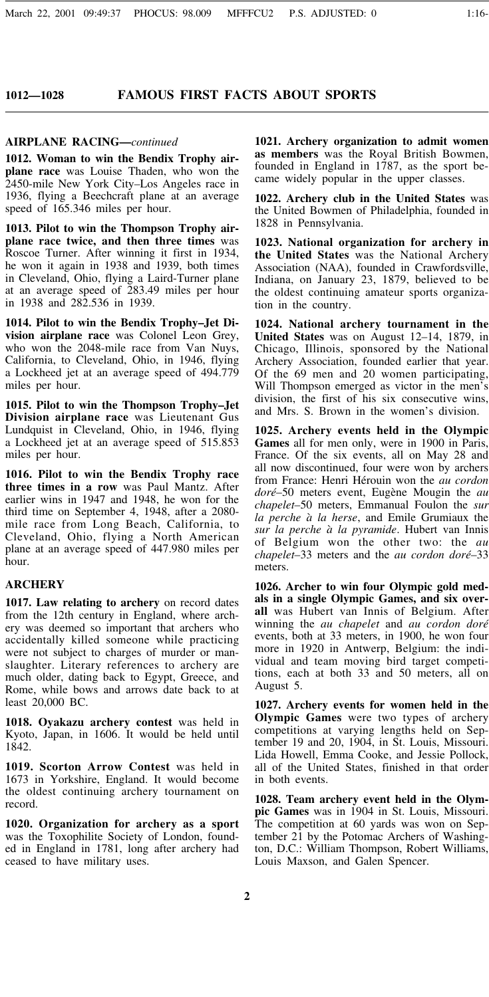#### **FAMOUS FIRST FACTS ABOUT SPORTS**

#### **AIRPLANE RACING—***continued*

**1012. Woman to win the Bendix Trophy airplane race** was Louise Thaden, who won the 2450-mile New York City–Los Angeles race in 1936, flying a Beechcraft plane at an average speed of 165.346 miles per hour.

**1013. Pilot to win the Thompson Trophy airplane race twice, and then three times** was Roscoe Turner. After winning it first in 1934, he won it again in 1938 and 1939, both times in Cleveland, Ohio, flying a Laird-Turner plane at an average speed of 283.49 miles per hour in 1938 and 282.536 in 1939.

**1014. Pilot to win the Bendix Trophy–Jet Division airplane race** was Colonel Leon Grey, who won the 2048-mile race from Van Nuys, California, to Cleveland, Ohio, in 1946, flying a Lockheed jet at an average speed of 494.779 miles per hour.

**1015. Pilot to win the Thompson Trophy–Jet Division airplane race** was Lieutenant Gus Lundquist in Cleveland, Ohio, in 1946, flying a Lockheed jet at an average speed of 515.853 miles per hour.

**1016. Pilot to win the Bendix Trophy race three times in a row** was Paul Mantz. After earlier wins in 1947 and 1948, he won for the third time on September 4, 1948, after a 2080 mile race from Long Beach, California, to Cleveland, Ohio, flying a North American plane at an average speed of 447.980 miles per hour.

#### **ARCHERY**

**1017. Law relating to archery** on record dates from the 12th century in England, where archery was deemed so important that archers who accidentally killed someone while practicing were not subject to charges of murder or manslaughter. Literary references to archery are much older, dating back to Egypt, Greece, and Rome, while bows and arrows date back to at least 20,000 BC.

**1018. Oyakazu archery contest** was held in Kyoto, Japan, in 1606. It would be held until 1842.

**1019. Scorton Arrow Contest** was held in 1673 in Yorkshire, England. It would become the oldest continuing archery tournament on record.

**1020. Organization for archery as a sport** was the Toxophilite Society of London, founded in England in 1781, long after archery had ceased to have military uses.

**1021. Archery organization to admit women as members** was the Royal British Bowmen, founded in England in 1787, as the sport became widely popular in the upper classes.

**1022. Archery club in the United States** was the United Bowmen of Philadelphia, founded in 1828 in Pennsylvania.

**1023. National organization for archery in the United States** was the National Archery Association (NAA), founded in Crawfordsville, Indiana, on January 23, 1879, believed to be the oldest continuing amateur sports organization in the country.

**1024. National archery tournament in the United States** was on August 12–14, 1879, in Chicago, Illinois, sponsored by the National Archery Association, founded earlier that year. Of the 69 men and 20 women participating, Will Thompson emerged as victor in the men's division, the first of his six consecutive wins, and Mrs. S. Brown in the women's division.

**1025. Archery events held in the Olympic Games** all for men only, were in 1900 in Paris, France. Of the six events, all on May 28 and all now discontinued, four were won by archers from France: Henri Hérouin won the *au cordon doré*–50 meters event, Euge`ne Mougin the *au chapelet*–50 meters, Emmanual Foulon the *sur la perche a*` *la herse*, and Emile Grumiaux the *sur la perche a*` *la pyramide*. Hubert van Innis of Belgium won the other two: the *au chapelet*–33 meters and the *au cordon doré*–33 meters.

**1026. Archer to win four Olympic gold medals in a single Olympic Games, and six overall** was Hubert van Innis of Belgium. After winning the *au chapelet* and *au cordon doré* events, both at 33 meters, in 1900, he won four more in 1920 in Antwerp, Belgium: the individual and team moving bird target competitions, each at both 33 and 50 meters, all on August 5.

**1027. Archery events for women held in the Olympic Games** were two types of archery competitions at varying lengths held on September 19 and 20, 1904, in St. Louis, Missouri. Lida Howell, Emma Cooke, and Jessie Pollock, all of the United States, finished in that order in both events.

**1028. Team archery event held in the Olympic Games** was in 1904 in St. Louis, Missouri. The competition at 60 yards was won on September 21 by the Potomac Archers of Washington, D.C.: William Thompson, Robert Williams, Louis Maxson, and Galen Spencer.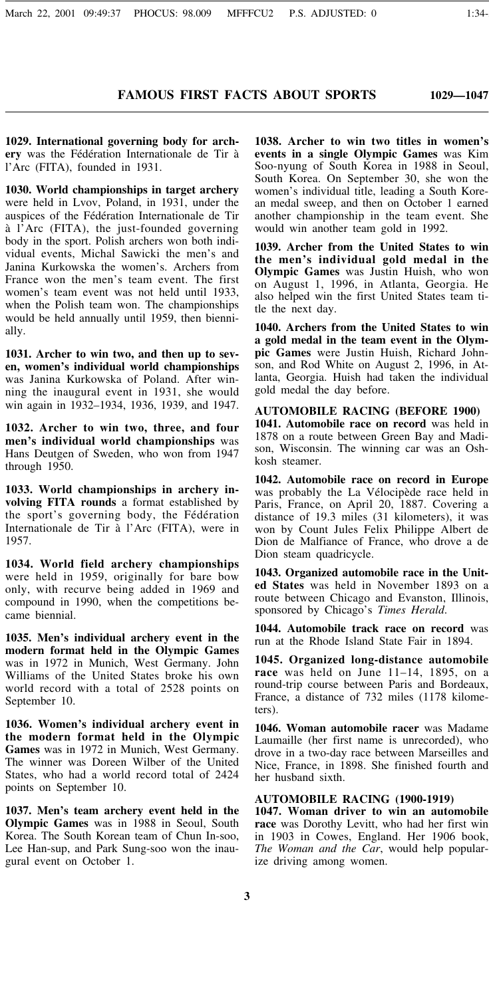**1029. International governing body for archery** was the Fédération Internationale de Tir a` l'Arc (FITA), founded in 1931.

**1030. World championships in target archery** were held in Lvov, Poland, in 1931, under the auspices of the Fédération Internationale de Tir a` l'Arc (FITA), the just-founded governing body in the sport. Polish archers won both individual events, Michal Sawicki the men's and Janina Kurkowska the women's. Archers from France won the men's team event. The first women's team event was not held until 1933, when the Polish team won. The championships would be held annually until 1959, then biennially.

**1031. Archer to win two, and then up to seven, women's individual world championships** was Janina Kurkowska of Poland. After winning the inaugural event in 1931, she would win again in 1932–1934, 1936, 1939, and 1947.

**1032. Archer to win two, three, and four men's individual world championships** was Hans Deutgen of Sweden, who won from 1947 through 1950.

**1033. World championships in archery involving FITA rounds** a format established by the sport's governing body, the Fédération Internationale de Tir à l'Arc (FITA), were in 1957.

**1034. World field archery championships** were held in 1959, originally for bare bow only, with recurve being added in 1969 and compound in 1990, when the competitions became biennial.

**1035. Men's individual archery event in the modern format held in the Olympic Games** was in 1972 in Munich, West Germany. John Williams of the United States broke his own world record with a total of 2528 points on September 10.

**1036. Women's individual archery event in the modern format held in the Olympic Games** was in 1972 in Munich, West Germany. The winner was Doreen Wilber of the United States, who had a world record total of 2424 points on September 10.

**1037. Men's team archery event held in the Olympic Games** was in 1988 in Seoul, South Korea. The South Korean team of Chun In-soo, Lee Han-sup, and Park Sung-soo won the inaugural event on October 1.

**1038. Archer to win two titles in women's events in a single Olympic Games** was Kim Soo-nyung of South Korea in 1988 in Seoul, South Korea. On September 30, she won the women's individual title, leading a South Korean medal sweep, and then on October 1 earned another championship in the team event. She would win another team gold in 1992.

**1039. Archer from the United States to win the men's individual gold medal in the Olympic Games** was Justin Huish, who won on August 1, 1996, in Atlanta, Georgia. He also helped win the first United States team title the next day.

**1040. Archers from the United States to win a gold medal in the team event in the Olympic Games** were Justin Huish, Richard Johnson, and Rod White on August 2, 1996, in Atlanta, Georgia. Huish had taken the individual gold medal the day before.

**AUTOMOBILE RACING (BEFORE 1900) 1041. Automobile race on record** was held in 1878 on a route between Green Bay and Madison, Wisconsin. The winning car was an Oshkosh steamer.

**1042. Automobile race on record in Europe** was probably the La Vélocipède race held in Paris, France, on April 20, 1887. Covering a distance of 19.3 miles (31 kilometers), it was won by Count Jules Felix Philippe Albert de Dion de Malfiance of France, who drove a de Dion steam quadricycle.

**1043. Organized automobile race in the United States** was held in November 1893 on a route between Chicago and Evanston, Illinois, sponsored by Chicago's *Times Herald*.

**1044. Automobile track race on record** was run at the Rhode Island State Fair in 1894.

**1045. Organized long-distance automobile race** was held on June 11–14, 1895, on a round-trip course between Paris and Bordeaux, France, a distance of 732 miles (1178 kilometers).

**1046. Woman automobile racer** was Madame Laumaille (her first name is unrecorded), who drove in a two-day race between Marseilles and Nice, France, in 1898. She finished fourth and her husband sixth.

#### **AUTOMOBILE RACING (1900-1919)**

**1047. Woman driver to win an automobile race** was Dorothy Levitt, who had her first win in 1903 in Cowes, England. Her 1906 book, *The Woman and the Car*, would help popularize driving among women.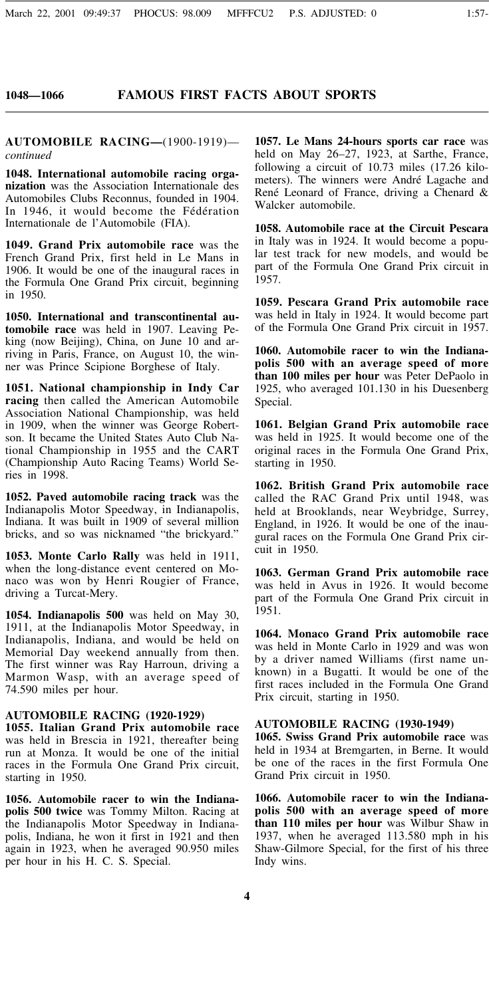### **FAMOUS FIRST FACTS ABOUT SPORTS**

**AUTOMOBILE RACING—**(1900-1919) *continued*

**1048. International automobile racing organization** was the Association Internationale des Automobiles Clubs Reconnus, founded in 1904. In 1946, it would become the Fédération Internationale de l'Automobile (FIA).

**1049. Grand Prix automobile race** was the French Grand Prix, first held in Le Mans in 1906. It would be one of the inaugural races in the Formula One Grand Prix circuit, beginning in 1950.

**1050. International and transcontinental automobile race** was held in 1907. Leaving Peking (now Beijing), China, on June 10 and arriving in Paris, France, on August 10, the winner was Prince Scipione Borghese of Italy.

**1051. National championship in Indy Car racing** then called the American Automobile Association National Championship, was held in 1909, when the winner was George Robertson. It became the United States Auto Club National Championship in 1955 and the CART (Championship Auto Racing Teams) World Series in 1998.

**1052. Paved automobile racing track** was the Indianapolis Motor Speedway, in Indianapolis, Indiana. It was built in 1909 of several million bricks, and so was nicknamed "the brickyard."

**1053. Monte Carlo Rally** was held in 1911, when the long-distance event centered on Monaco was won by Henri Rougier of France, driving a Turcat-Mery.

**1054. Indianapolis 500** was held on May 30, 1911, at the Indianapolis Motor Speedway, in Indianapolis, Indiana, and would be held on Memorial Day weekend annually from then. The first winner was Ray Harroun, driving a Marmon Wasp, with an average speed of 74.590 miles per hour.

#### **AUTOMOBILE RACING (1920-1929)**

**1055. Italian Grand Prix automobile race** was held in Brescia in 1921, thereafter being run at Monza. It would be one of the initial races in the Formula One Grand Prix circuit, starting in 1950.

**1056. Automobile racer to win the Indianapolis 500 twice** was Tommy Milton. Racing at the Indianapolis Motor Speedway in Indianapolis, Indiana, he won it first in 1921 and then again in 1923, when he averaged 90.950 miles per hour in his H. C. S. Special.

**1057. Le Mans 24-hours sports car race** was held on May 26–27, 1923, at Sarthe, France, following a circuit of 10.73 miles (17.26 kilometers). The winners were André Lagache and René Leonard of France, driving a Chenard & Walcker automobile.

**1058. Automobile race at the Circuit Pescara** in Italy was in 1924. It would become a popular test track for new models, and would be part of the Formula One Grand Prix circuit in 1957.

**1059. Pescara Grand Prix automobile race** was held in Italy in 1924. It would become part of the Formula One Grand Prix circuit in 1957.

**1060. Automobile racer to win the Indianapolis 500 with an average speed of more than 100 miles per hour** was Peter DePaolo in 1925, who averaged 101.130 in his Duesenberg Special.

**1061. Belgian Grand Prix automobile race** was held in 1925. It would become one of the original races in the Formula One Grand Prix, starting in 1950.

**1062. British Grand Prix automobile race** called the RAC Grand Prix until 1948, was held at Brooklands, near Weybridge, Surrey, England, in 1926. It would be one of the inaugural races on the Formula One Grand Prix circuit in 1950.

**1063. German Grand Prix automobile race** was held in Avus in 1926. It would become part of the Formula One Grand Prix circuit in 1951.

**1064. Monaco Grand Prix automobile race** was held in Monte Carlo in 1929 and was won by a driver named Williams (first name unknown) in a Bugatti. It would be one of the first races included in the Formula One Grand Prix circuit, starting in 1950.

#### **AUTOMOBILE RACING (1930-1949)**

**1065. Swiss Grand Prix automobile race** was held in 1934 at Bremgarten, in Berne. It would be one of the races in the first Formula One Grand Prix circuit in 1950.

**1066. Automobile racer to win the Indianapolis 500 with an average speed of more than 110 miles per hour** was Wilbur Shaw in 1937, when he averaged 113.580 mph in his Shaw-Gilmore Special, for the first of his three Indy wins.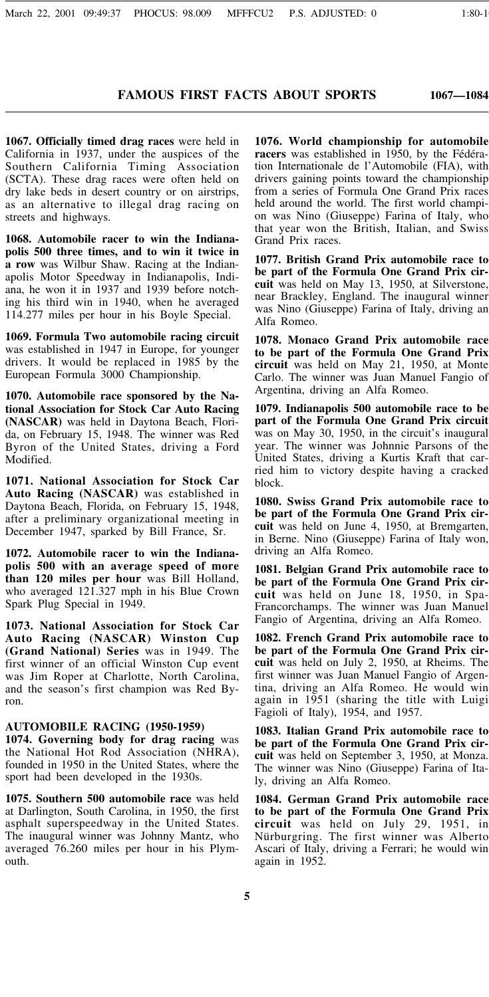**1067—1084**

**1067. Officially timed drag races** were held in California in 1937, under the auspices of the Southern California Timing Association (SCTA). These drag races were often held on dry lake beds in desert country or on airstrips, as an alternative to illegal drag racing on streets and highways.

**1068. Automobile racer to win the Indianapolis 500 three times, and to win it twice in a row** was Wilbur Shaw. Racing at the Indianapolis Motor Speedway in Indianapolis, Indiana, he won it in 1937 and 1939 before notching his third win in 1940, when he averaged 114.277 miles per hour in his Boyle Special.

**1069. Formula Two automobile racing circuit** was established in 1947 in Europe, for younger drivers. It would be replaced in 1985 by the European Formula 3000 Championship.

**1070. Automobile race sponsored by the National Association for Stock Car Auto Racing (NASCAR)** was held in Daytona Beach, Florida, on February 15, 1948. The winner was Red Byron of the United States, driving a Ford Modified.

**1071. National Association for Stock Car Auto Racing (NASCAR)** was established in Daytona Beach, Florida, on February 15, 1948, after a preliminary organizational meeting in December 1947, sparked by Bill France, Sr.

**1072. Automobile racer to win the Indianapolis 500 with an average speed of more than 120 miles per hour** was Bill Holland, who averaged 121.327 mph in his Blue Crown Spark Plug Special in 1949.

**1073. National Association for Stock Car Auto Racing (NASCAR) Winston Cup (Grand National) Series** was in 1949. The first winner of an official Winston Cup event was Jim Roper at Charlotte, North Carolina, and the season's first champion was Red Byron.

#### **AUTOMOBILE RACING (1950-1959)**

**1074. Governing body for drag racing** was the National Hot Rod Association (NHRA), founded in 1950 in the United States, where the sport had been developed in the 1930s.

**1075. Southern 500 automobile race** was held at Darlington, South Carolina, in 1950, the first asphalt superspeedway in the United States. The inaugural winner was Johnny Mantz, who averaged 76.260 miles per hour in his Plymouth.

**1076. World championship for automobile racers** was established in 1950, by the Fédération Internationale de l'Automobile (FIA), with drivers gaining points toward the championship from a series of Formula One Grand Prix races held around the world. The first world champion was Nino (Giuseppe) Farina of Italy, who that year won the British, Italian, and Swiss Grand Prix races.

**1077. British Grand Prix automobile race to be part of the Formula One Grand Prix circuit** was held on May 13, 1950, at Silverstone, near Brackley, England. The inaugural winner was Nino (Giuseppe) Farina of Italy, driving an Alfa Romeo.

**1078. Monaco Grand Prix automobile race to be part of the Formula One Grand Prix circuit** was held on May 21, 1950, at Monte Carlo. The winner was Juan Manuel Fangio of Argentina, driving an Alfa Romeo.

**1079. Indianapolis 500 automobile race to be part of the Formula One Grand Prix circuit** was on May 30, 1950, in the circuit's inaugural year. The winner was Johnnie Parsons of the United States, driving a Kurtis Kraft that carried him to victory despite having a cracked block.

**1080. Swiss Grand Prix automobile race to be part of the Formula One Grand Prix circuit** was held on June 4, 1950, at Bremgarten, in Berne. Nino (Giuseppe) Farina of Italy won, driving an Alfa Romeo.

**1081. Belgian Grand Prix automobile race to be part of the Formula One Grand Prix circuit** was held on June 18, 1950, in Spa-Francorchamps. The winner was Juan Manuel Fangio of Argentina, driving an Alfa Romeo.

**1082. French Grand Prix automobile race to be part of the Formula One Grand Prix circuit** was held on July 2, 1950, at Rheims. The first winner was Juan Manuel Fangio of Argentina, driving an Alfa Romeo. He would win again in 1951 (sharing the title with Luigi Fagioli of Italy), 1954, and 1957.

**1083. Italian Grand Prix automobile race to be part of the Formula One Grand Prix circuit** was held on September 3, 1950, at Monza. The winner was Nino (Giuseppe) Farina of Italy, driving an Alfa Romeo.

**1084. German Grand Prix automobile race to be part of the Formula One Grand Prix circuit** was held on July 29, 1951, in Nürburgring. The first winner was Alberto Ascari of Italy, driving a Ferrari; he would win again in 1952.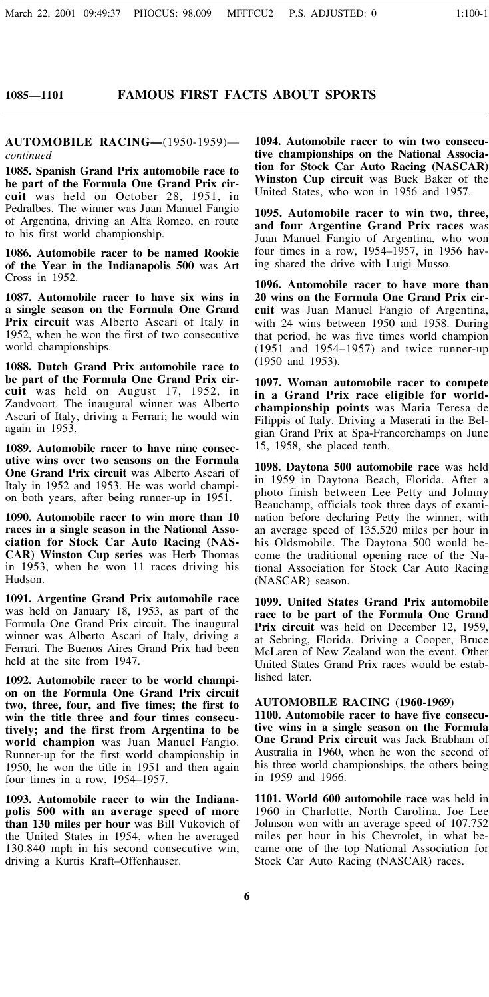#### **FAMOUS FIRST FACTS ABOUT SPORTS**

**AUTOMOBILE RACING—**(1950-1959) *continued*

**1085. Spanish Grand Prix automobile race to be part of the Formula One Grand Prix circuit** was held on October 28, 1951, in Pedralbes. The winner was Juan Manuel Fangio of Argentina, driving an Alfa Romeo, en route to his first world championship.

**1086. Automobile racer to be named Rookie of the Year in the Indianapolis 500** was Art Cross in 1952.

**1087. Automobile racer to have six wins in a single season on the Formula One Grand Prix circuit** was Alberto Ascari of Italy in 1952, when he won the first of two consecutive world championships.

**1088. Dutch Grand Prix automobile race to be part of the Formula One Grand Prix circuit** was held on August 17, 1952, in Zandvoort. The inaugural winner was Alberto Ascari of Italy, driving a Ferrari; he would win again in 1953.

**1089. Automobile racer to have nine consecutive wins over two seasons on the Formula One Grand Prix circuit** was Alberto Ascari of Italy in 1952 and 1953. He was world champion both years, after being runner-up in 1951.

**1090. Automobile racer to win more than 10 races in a single season in the National Association for Stock Car Auto Racing (NAS-CAR) Winston Cup series** was Herb Thomas in 1953, when he won 11 races driving his Hudson.

**1091. Argentine Grand Prix automobile race** was held on January 18, 1953, as part of the Formula One Grand Prix circuit. The inaugural winner was Alberto Ascari of Italy, driving a Ferrari. The Buenos Aires Grand Prix had been held at the site from 1947.

**1092. Automobile racer to be world champion on the Formula One Grand Prix circuit two, three, four, and five times; the first to win the title three and four times consecutively; and the first from Argentina to be world champion** was Juan Manuel Fangio. Runner-up for the first world championship in 1950, he won the title in 1951 and then again four times in a row, 1954–1957.

**1093. Automobile racer to win the Indianapolis 500 with an average speed of more than 130 miles per hour** was Bill Vukovich of the United States in 1954, when he averaged 130.840 mph in his second consecutive win, driving a Kurtis Kraft–Offenhauser.

**1094. Automobile racer to win two consecutive championships on the National Association for Stock Car Auto Racing (NASCAR) Winston Cup circuit** was Buck Baker of the United States, who won in 1956 and 1957.

**1095. Automobile racer to win two, three, and four Argentine Grand Prix races** was Juan Manuel Fangio of Argentina, who won four times in a row, 1954–1957, in 1956 having shared the drive with Luigi Musso.

**1096. Automobile racer to have more than 20 wins on the Formula One Grand Prix circuit** was Juan Manuel Fangio of Argentina, with 24 wins between 1950 and 1958. During that period, he was five times world champion (1951 and 1954–1957) and twice runner-up (1950 and 1953).

**1097. Woman automobile racer to compete in a Grand Prix race eligible for worldchampionship points** was Maria Teresa de Filippis of Italy. Driving a Maserati in the Belgian Grand Prix at Spa-Francorchamps on June 15, 1958, she placed tenth.

**1098. Daytona 500 automobile race** was held in 1959 in Daytona Beach, Florida. After a photo finish between Lee Petty and Johnny Beauchamp, officials took three days of examination before declaring Petty the winner, with an average speed of 135.520 miles per hour in his Oldsmobile. The Daytona 500 would become the traditional opening race of the National Association for Stock Car Auto Racing (NASCAR) season.

**1099. United States Grand Prix automobile race to be part of the Formula One Grand Prix circuit** was held on December 12, 1959, at Sebring, Florida. Driving a Cooper, Bruce McLaren of New Zealand won the event. Other United States Grand Prix races would be established later.

#### **AUTOMOBILE RACING (1960-1969)**

**1100. Automobile racer to have five consecutive wins in a single season on the Formula One Grand Prix circuit** was Jack Brabham of Australia in 1960, when he won the second of his three world championships, the others being in 1959 and 1966.

**1101. World 600 automobile race** was held in 1960 in Charlotte, North Carolina. Joe Lee Johnson won with an average speed of 107.752 miles per hour in his Chevrolet, in what became one of the top National Association for Stock Car Auto Racing (NASCAR) races.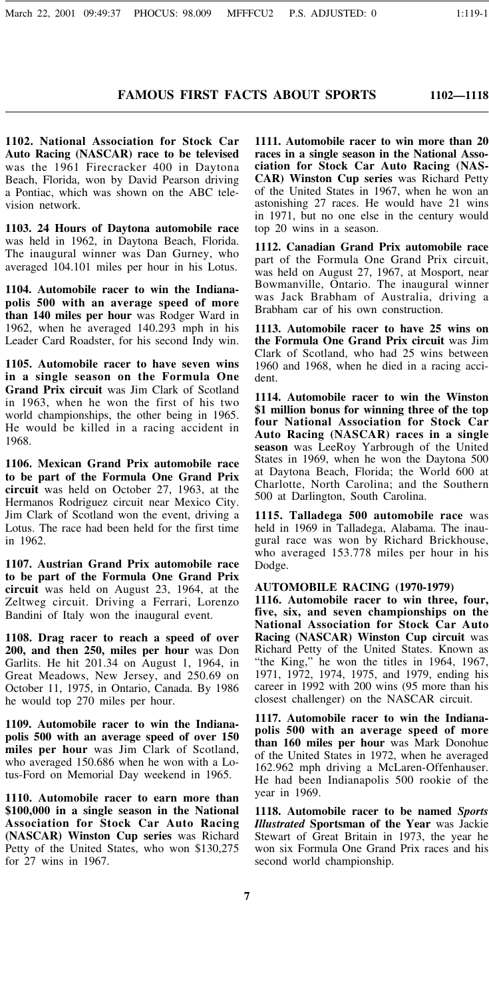**1102—1118**

**1102. National Association for Stock Car Auto Racing (NASCAR) race to be televised** was the 1961 Firecracker 400 in Daytona Beach, Florida, won by David Pearson driving a Pontiac, which was shown on the ABC television network.

**1103. 24 Hours of Daytona automobile race** was held in 1962, in Daytona Beach, Florida. The inaugural winner was Dan Gurney, who averaged 104.101 miles per hour in his Lotus.

**1104. Automobile racer to win the Indianapolis 500 with an average speed of more than 140 miles per hour** was Rodger Ward in 1962, when he averaged 140.293 mph in his Leader Card Roadster, for his second Indy win.

**1105. Automobile racer to have seven wins in a single season on the Formula One Grand Prix circuit** was Jim Clark of Scotland in 1963, when he won the first of his two world championships, the other being in 1965. He would be killed in a racing accident in 1968.

**1106. Mexican Grand Prix automobile race to be part of the Formula One Grand Prix circuit** was held on October 27, 1963, at the Hermanos Rodriguez circuit near Mexico City. Jim Clark of Scotland won the event, driving a Lotus. The race had been held for the first time in 1962.

**1107. Austrian Grand Prix automobile race to be part of the Formula One Grand Prix circuit** was held on August 23, 1964, at the Zeltweg circuit. Driving a Ferrari, Lorenzo Bandini of Italy won the inaugural event.

**1108. Drag racer to reach a speed of over 200, and then 250, miles per hour** was Don Garlits. He hit 201.34 on August 1, 1964, in Great Meadows, New Jersey, and 250.69 on October 11, 1975, in Ontario, Canada. By 1986 he would top 270 miles per hour.

**1109. Automobile racer to win the Indianapolis 500 with an average speed of over 150 miles per hour** was Jim Clark of Scotland, who averaged 150.686 when he won with a Lotus-Ford on Memorial Day weekend in 1965.

**1110. Automobile racer to earn more than \$100,000 in a single season in the National Association for Stock Car Auto Racing (NASCAR) Winston Cup series** was Richard Petty of the United States, who won \$130,275 for 27 wins in 1967.

**1111. Automobile racer to win more than 20 races in a single season in the National Association for Stock Car Auto Racing (NAS-CAR) Winston Cup series** was Richard Petty of the United States in 1967, when he won an astonishing 27 races. He would have 21 wins in 1971, but no one else in the century would top 20 wins in a season.

**1112. Canadian Grand Prix automobile race** part of the Formula One Grand Prix circuit, was held on August 27, 1967, at Mosport, near Bowmanville, Ontario. The inaugural winner was Jack Brabham of Australia, driving a Brabham car of his own construction.

**1113. Automobile racer to have 25 wins on the Formula One Grand Prix circuit** was Jim Clark of Scotland, who had 25 wins between 1960 and 1968, when he died in a racing accident.

**1114. Automobile racer to win the Winston \$1 million bonus for winning three of the top four National Association for Stock Car Auto Racing (NASCAR) races in a single season** was LeeRoy Yarbrough of the United States in 1969, when he won the Daytona 500 at Daytona Beach, Florida; the World 600 at Charlotte, North Carolina; and the Southern 500 at Darlington, South Carolina.

**1115. Talladega 500 automobile race** was held in 1969 in Talladega, Alabama. The inaugural race was won by Richard Brickhouse, who averaged 153.778 miles per hour in his Dodge.

#### **AUTOMOBILE RACING (1970-1979)**

**1116. Automobile racer to win three, four, five, six, and seven championships on the National Association for Stock Car Auto Racing (NASCAR) Winston Cup circuit** was Richard Petty of the United States. Known as "the King," he won the titles in 1964, 1967, 1971, 1972, 1974, 1975, and 1979, ending his career in 1992 with 200 wins (95 more than his closest challenger) on the NASCAR circuit.

**1117. Automobile racer to win the Indianapolis 500 with an average speed of more than 160 miles per hour** was Mark Donohue of the United States in 1972, when he averaged 162.962 mph driving a McLaren-Offenhauser. He had been Indianapolis 500 rookie of the year in 1969.

**1118. Automobile racer to be named** *Sports Illustrated* **Sportsman of the Year** was Jackie Stewart of Great Britain in 1973, the year he won six Formula One Grand Prix races and his second world championship.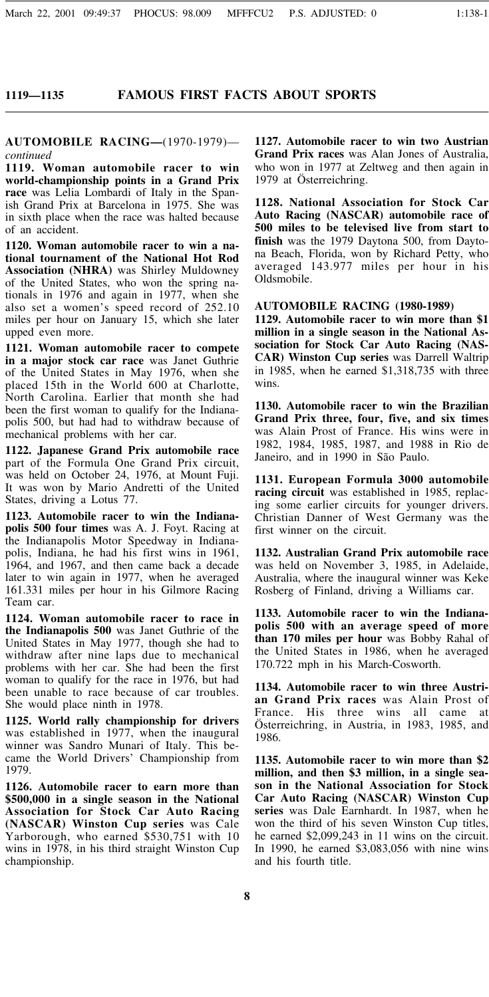#### **FAMOUS FIRST FACTS ABOUT SPORTS**

**AUTOMOBILE RACING—**(1970-1979) *continued*

**1119. Woman automobile racer to win world-championship points in a Grand Prix race** was Lelia Lombardi of Italy in the Spanish Grand Prix at Barcelona in 1975. She was in sixth place when the race was halted because of an accident.

**1120. Woman automobile racer to win a national tournament of the National Hot Rod Association (NHRA)** was Shirley Muldowney of the United States, who won the spring nationals in 1976 and again in 1977, when she also set a women's speed record of 252.10 miles per hour on January 15, which she later upped even more.

**1121. Woman automobile racer to compete in a major stock car race** was Janet Guthrie of the United States in May 1976, when she placed 15th in the World 600 at Charlotte, North Carolina. Earlier that month she had been the first woman to qualify for the Indianapolis 500, but had had to withdraw because of mechanical problems with her car.

**1122. Japanese Grand Prix automobile race** part of the Formula One Grand Prix circuit, was held on October 24, 1976, at Mount Fuji. It was won by Mario Andretti of the United States, driving a Lotus 77.

**1123. Automobile racer to win the Indianapolis 500 four times** was A. J. Foyt. Racing at the Indianapolis Motor Speedway in Indianapolis, Indiana, he had his first wins in 1961, 1964, and 1967, and then came back a decade later to win again in 1977, when he averaged 161.331 miles per hour in his Gilmore Racing Team car.

**1124. Woman automobile racer to race in the Indianapolis 500** was Janet Guthrie of the United States in May 1977, though she had to withdraw after nine laps due to mechanical problems with her car. She had been the first woman to qualify for the race in 1976, but had been unable to race because of car troubles. She would place ninth in 1978.

**1125. World rally championship for drivers** was established in 1977, when the inaugural winner was Sandro Munari of Italy. This became the World Drivers' Championship from 1979.

**1126. Automobile racer to earn more than \$500,000 in a single season in the National Association for Stock Car Auto Racing (NASCAR) Winston Cup series** was Cale Yarborough, who earned \$530,751 with 10 wins in 1978, in his third straight Winston Cup championship.

**1127. Automobile racer to win two Austrian Grand Prix races** was Alan Jones of Australia, who won in 1977 at Zeltweg and then again in 1979 at Österreichring.

**1128. National Association for Stock Car Auto Racing (NASCAR) automobile race of 500 miles to be televised live from start to finish** was the 1979 Daytona 500, from Daytona Beach, Florida, won by Richard Petty, who averaged 143.977 miles per hour in his Oldsmobile.

**AUTOMOBILE RACING (1980-1989)**

**1129. Automobile racer to win more than \$1 million in a single season in the National Association for Stock Car Auto Racing (NAS-CAR) Winston Cup series** was Darrell Waltrip in 1985, when he earned \$1,318,735 with three wins.

**1130. Automobile racer to win the Brazilian Grand Prix three, four, five, and six times** was Alain Prost of France. His wins were in 1982, 1984, 1985, 1987, and 1988 in Rio de Janeiro, and in 1990 in São Paulo.

**1131. European Formula 3000 automobile racing circuit** was established in 1985, replacing some earlier circuits for younger drivers. Christian Danner of West Germany was the first winner on the circuit.

**1132. Australian Grand Prix automobile race** was held on November 3, 1985, in Adelaide, Australia, where the inaugural winner was Keke Rosberg of Finland, driving a Williams car.

**1133. Automobile racer to win the Indianapolis 500 with an average speed of more than 170 miles per hour** was Bobby Rahal of the United States in 1986, when he averaged 170.722 mph in his March-Cosworth.

**1134. Automobile racer to win three Austrian Grand Prix races** was Alain Prost of France. His three wins all came at Österreichring, in Austria, in 1983, 1985, and 1986.

**1135. Automobile racer to win more than \$2 million, and then \$3 million, in a single season in the National Association for Stock Car Auto Racing (NASCAR) Winston Cup series** was Dale Earnhardt. In 1987, when he won the third of his seven Winston Cup titles, he earned \$2,099,243 in 11 wins on the circuit. In 1990, he earned \$3,083,056 with nine wins and his fourth title.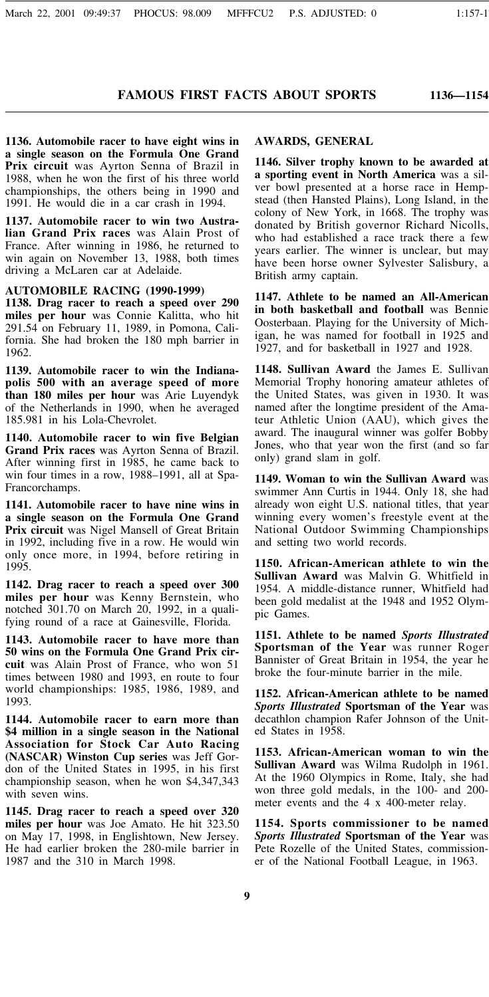**1136—1154**

**1136. Automobile racer to have eight wins in a single season on the Formula One Grand Prix circuit** was Ayrton Senna of Brazil in 1988, when he won the first of his three world championships, the others being in 1990 and 1991. He would die in a car crash in 1994.

**1137. Automobile racer to win two Australian Grand Prix races** was Alain Prost of France. After winning in 1986, he returned to win again on November 13, 1988, both times driving a McLaren car at Adelaide.

**AUTOMOBILE RACING (1990-1999)**

**1138. Drag racer to reach a speed over 290 miles per hour** was Connie Kalitta, who hit 291.54 on February 11, 1989, in Pomona, California. She had broken the 180 mph barrier in 1962.

**1139. Automobile racer to win the Indianapolis 500 with an average speed of more than 180 miles per hour** was Arie Luyendyk of the Netherlands in 1990, when he averaged 185.981 in his Lola-Chevrolet.

**1140. Automobile racer to win five Belgian Grand Prix races** was Ayrton Senna of Brazil. After winning first in 1985, he came back to win four times in a row, 1988–1991, all at Spa-Francorchamps.

**1141. Automobile racer to have nine wins in a single season on the Formula One Grand Prix circuit** was Nigel Mansell of Great Britain in 1992, including five in a row. He would win only once more, in 1994, before retiring in 1995.

**1142. Drag racer to reach a speed over 300 miles per hour** was Kenny Bernstein, who notched 301.70 on March 20, 1992, in a qualifying round of a race at Gainesville, Florida.

**1143. Automobile racer to have more than 50 wins on the Formula One Grand Prix circuit** was Alain Prost of France, who won 51 times between 1980 and 1993, en route to four world championships: 1985, 1986, 1989, and 1993.

**1144. Automobile racer to earn more than \$4 million in a single season in the National Association for Stock Car Auto Racing (NASCAR) Winston Cup series** was Jeff Gordon of the United States in 1995, in his first championship season, when he won \$4,347,343 with seven wins.

**1145. Drag racer to reach a speed over 320 miles per hour** was Joe Amato. He hit 323.50 on May 17, 1998, in Englishtown, New Jersey. He had earlier broken the 280-mile barrier in 1987 and the 310 in March 1998.

#### **AWARDS, GENERAL**

**1146. Silver trophy known to be awarded at a sporting event in North America** was a silver bowl presented at a horse race in Hempstead (then Hansted Plains), Long Island, in the colony of New York, in 1668. The trophy was donated by British governor Richard Nicolls, who had established a race track there a few years earlier. The winner is unclear, but may have been horse owner Sylvester Salisbury, a British army captain.

**1147. Athlete to be named an All-American in both basketball and football** was Bennie Oosterbaan. Playing for the University of Michigan, he was named for football in 1925 and 1927, and for basketball in 1927 and 1928.

**1148. Sullivan Award** the James E. Sullivan Memorial Trophy honoring amateur athletes of the United States, was given in 1930. It was named after the longtime president of the Amateur Athletic Union (AAU), which gives the award. The inaugural winner was golfer Bobby Jones, who that year won the first (and so far only) grand slam in golf.

**1149. Woman to win the Sullivan Award** was swimmer Ann Curtis in 1944. Only 18, she had already won eight U.S. national titles, that year winning every women's freestyle event at the National Outdoor Swimming Championships and setting two world records.

**1150. African-American athlete to win the Sullivan Award** was Malvin G. Whitfield in 1954. A middle-distance runner, Whitfield had been gold medalist at the 1948 and 1952 Olympic Games.

**1151. Athlete to be named** *Sports Illustrated* **Sportsman of the Year** was runner Roger Bannister of Great Britain in 1954, the year he broke the four-minute barrier in the mile.

**1152. African-American athlete to be named** *Sports Illustrated* **Sportsman of the Year** was decathlon champion Rafer Johnson of the United States in 1958.

**1153. African-American woman to win the Sullivan Award** was Wilma Rudolph in 1961. At the 1960 Olympics in Rome, Italy, she had won three gold medals, in the 100- and 200 meter events and the 4 x 400-meter relay.

**1154. Sports commissioner to be named** *Sports Illustrated* **Sportsman of the Year** was Pete Rozelle of the United States, commissioner of the National Football League, in 1963.